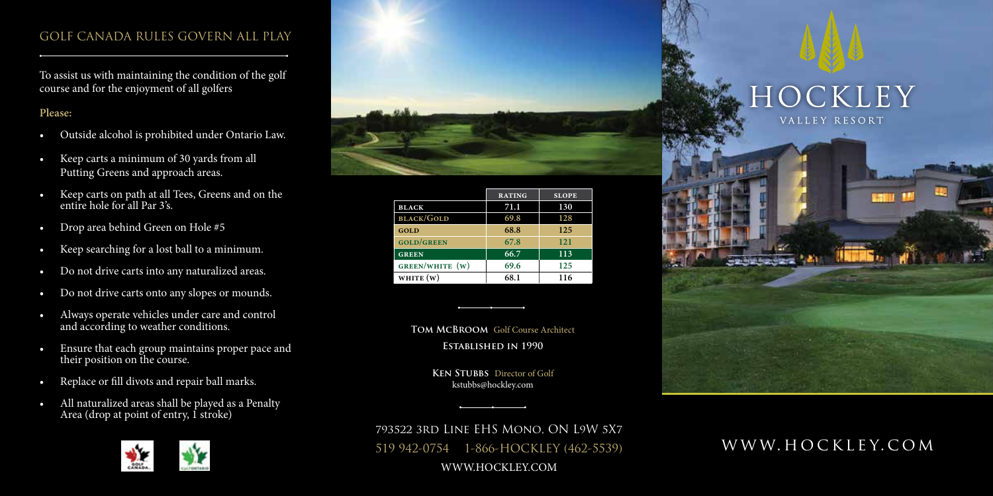## GOLF CANADA RULES GOVERN ALL PLAY

To assist us with maintaining the condition of the golf course and for the enjoyment of all golfers

## **Please:**

- Outside alcohol is prohibited under Ontario Law.
- Keep carts a minimum of 30 yards from all Putting Greens and approach areas.
- Keep carts on path at all Tees, Greens and on the entire hole for all Par 3's.
- Drop area behind Green on Hole #5
- Keep searching for a lost ball to a minimum.
- Do not drive carts into any naturalized areas.
- Do not drive carts onto any slopes or mounds.
- Always operate vehicles under care and control and according to weather conditions.
- Ensure that each group maintains proper pace and their position on the course.
- Replace or fill divots and repair ball marks.
- All naturalized areas shall be played as a Penalty Area (drop at point of entry, I stroke)





|                   | <b>RATING</b> | <b>SLOPE</b> |
|-------------------|---------------|--------------|
| <b>BLACK</b>      | 71.1          | 130          |
| <b>BLACK/GOLD</b> | 69.8          | 128          |
| GOLD              | 68.8          | 125          |
| <b>GOLD/GREEN</b> | 67.8          | 121          |
| <b>GREEN</b>      | 66.7          | 113          |
| GREEN/WHITE (W)   | 69.6          | 125          |
| WHITE $(w)$       | 68.1          | 116          |

**Tom McBroom** Golf Course Architect

**Established in 1990**

**Ken Stubbs** Director of Golf kstubbs@hockley.com



793522 3rd Line EHS Mono, ON L9W 5X7 519 942-0754 1-866-HOCKLEY (462-5539) WWW.HOCKLEY.COM

## www.hockley.com